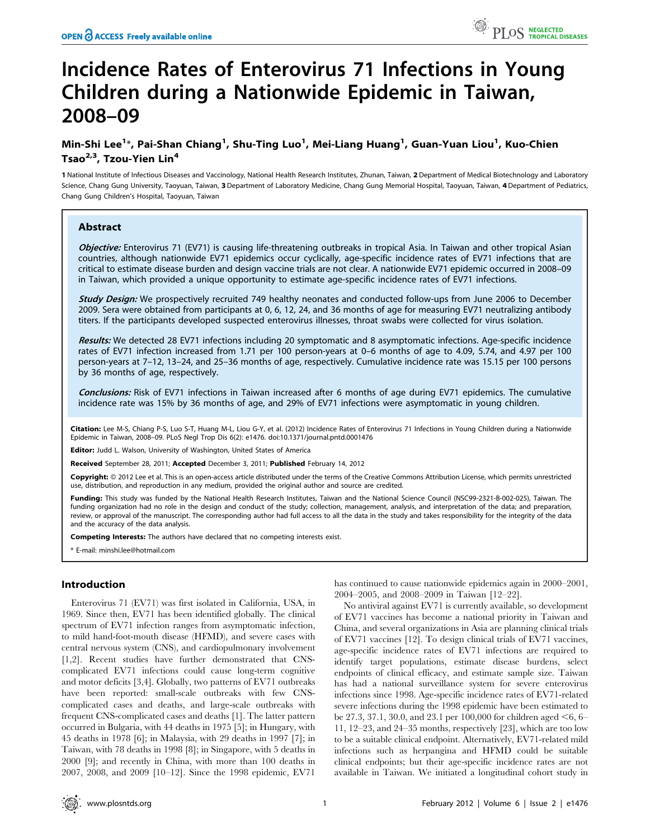# Incidence Rates of Enterovirus 71 Infections in Young Children during a Nationwide Epidemic in Taiwan, 2008–09

## Min-Shi Lee $^{1\ast}$ , Pai-Shan Chiang $^{1}$ , Shu-Ting Luo $^{1}$ , Mei-Liang Huang $^{1}$ , Guan-Yuan Liou $^{1}$ , Kuo-Chien Tsao $^{2,3}$ , Tzou-Yien Lin<sup>4</sup>

1 National Institute of Infectious Diseases and Vaccinology, National Health Research Institutes, Zhunan, Taiwan, 2 Department of Medical Biotechnology and Laboratory Science, Chang Gung University, Taoyuan, Taiwan, 3 Department of Laboratory Medicine, Chang Gung Memorial Hospital, Taoyuan, Taiwan, 4 Department of Pediatrics, Chang Gung Children's Hospital, Taoyuan, Taiwan

## Abstract

Objective: Enterovirus 71 (EV71) is causing life-threatening outbreaks in tropical Asia. In Taiwan and other tropical Asian countries, although nationwide EV71 epidemics occur cyclically, age-specific incidence rates of EV71 infections that are critical to estimate disease burden and design vaccine trials are not clear. A nationwide EV71 epidemic occurred in 2008–09 in Taiwan, which provided a unique opportunity to estimate age-specific incidence rates of EV71 infections.

**Study Design:** We prospectively recruited 749 healthy neonates and conducted follow-ups from June 2006 to December 2009. Sera were obtained from participants at 0, 6, 12, 24, and 36 months of age for measuring EV71 neutralizing antibody titers. If the participants developed suspected enterovirus illnesses, throat swabs were collected for virus isolation.

Results: We detected 28 EV71 infections including 20 symptomatic and 8 asymptomatic infections. Age-specific incidence rates of EV71 infection increased from 1.71 per 100 person-years at 0–6 months of age to 4.09, 5.74, and 4.97 per 100 person-years at 7–12, 13–24, and 25–36 months of age, respectively. Cumulative incidence rate was 15.15 per 100 persons by 36 months of age, respectively.

Conclusions: Risk of EV71 infections in Taiwan increased after 6 months of age during EV71 epidemics. The cumulative incidence rate was 15% by 36 months of age, and 29% of EV71 infections were asymptomatic in young children.

Citation: Lee M-S, Chiang P-S, Luo S-T, Huang M-L, Liou G-Y, et al. (2012) Incidence Rates of Enterovirus 71 Infections in Young Children during a Nationwide Epidemic in Taiwan, 2008–09. PLoS Negl Trop Dis 6(2): e1476. doi:10.1371/journal.pntd.0001476

Editor: Judd L. Walson, University of Washington, United States of America

Received September 28, 2011; Accepted December 3, 2011; Published February 14, 2012

Copyright: © 2012 Lee et al. This is an open-access article distributed under the terms of the Creative Commons Attribution License, which permits unrestricted use, distribution, and reproduction in any medium, provided the original author and source are credited.

Funding: This study was funded by the National Health Research Institutes, Taiwan and the National Science Council (NSC99-2321-B-002-025), Taiwan. The funding organization had no role in the design and conduct of the study; collection, management, analysis, and interpretation of the data; and preparation, review, or approval of the manuscript. The corresponding author had full access to all the data in the study and takes responsibility for the integrity of the data and the accuracy of the data analysis.

Competing Interests: The authors have declared that no competing interests exist.

\* E-mail: minshi.lee@hotmail.com

## Introduction

Enterovirus 71 (EV71) was first isolated in California, USA, in 1969. Since then, EV71 has been identified globally. The clinical spectrum of EV71 infection ranges from asymptomatic infection, to mild hand-foot-mouth disease (HFMD), and severe cases with central nervous system (CNS), and cardiopulmonary involvement [1,2]. Recent studies have further demonstrated that CNScomplicated EV71 infections could cause long-term cognitive and motor deficits [3,4]. Globally, two patterns of EV71 outbreaks have been reported: small-scale outbreaks with few CNScomplicated cases and deaths, and large-scale outbreaks with frequent CNS-complicated cases and deaths [1]. The latter pattern occurred in Bulgaria, with 44 deaths in 1975 [5]; in Hungary, with 45 deaths in 1978 [6]; in Malaysia, with 29 deaths in 1997 [7]; in Taiwan, with 78 deaths in 1998 [8]; in Singapore, with 5 deaths in 2000 [9]; and recently in China, with more than 100 deaths in 2007, 2008, and 2009 [10–12]. Since the 1998 epidemic, EV71

has continued to cause nationwide epidemics again in 2000–2001, 2004–2005, and 2008–2009 in Taiwan [12–22].

No antiviral against EV71 is currently available, so development of EV71 vaccines has become a national priority in Taiwan and China, and several organizations in Asia are planning clinical trials of EV71 vaccines [12]. To design clinical trials of EV71 vaccines, age-specific incidence rates of EV71 infections are required to identify target populations, estimate disease burdens, select endpoints of clinical efficacy, and estimate sample size. Taiwan has had a national surveillance system for severe enterovirus infections since 1998. Age-specific incidence rates of EV71-related severe infections during the 1998 epidemic have been estimated to be 27.3, 37.1, 30.0, and 23.1 per 100,000 for children aged  $\leq 6, 6-$ 11, 12–23, and 24–35 months, respectively [23], which are too low to be a suitable clinical endpoint. Alternatively, EV71-related mild infections such as herpangina and HFMD could be suitable clinical endpoints; but their age-specific incidence rates are not available in Taiwan. We initiated a longitudinal cohort study in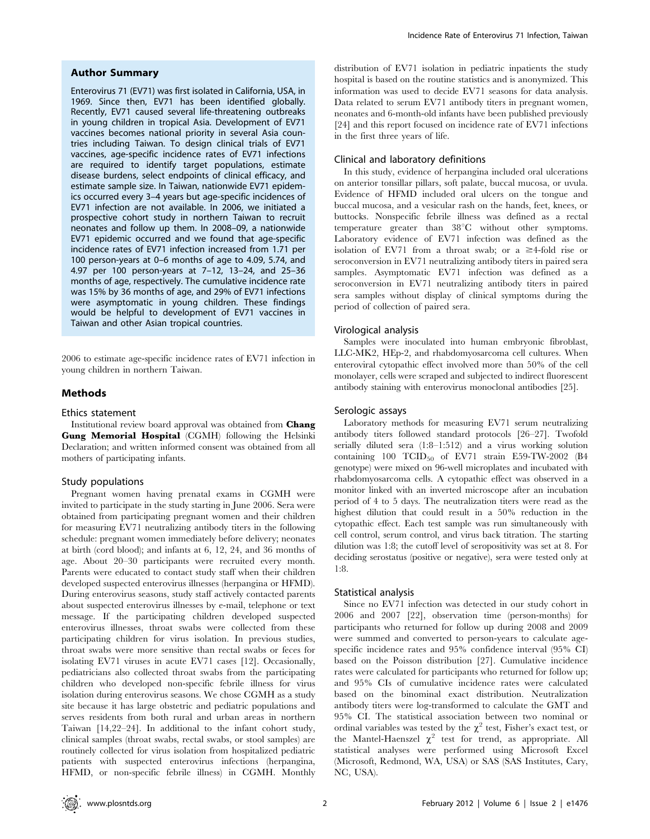#### Author Summary

Enterovirus 71 (EV71) was first isolated in California, USA, in 1969. Since then, EV71 has been identified globally. Recently, EV71 caused several life-threatening outbreaks in young children in tropical Asia. Development of EV71 vaccines becomes national priority in several Asia countries including Taiwan. To design clinical trials of EV71 vaccines, age-specific incidence rates of EV71 infections are required to identify target populations, estimate disease burdens, select endpoints of clinical efficacy, and estimate sample size. In Taiwan, nationwide EV71 epidemics occurred every 3–4 years but age-specific incidences of EV71 infection are not available. In 2006, we initiated a prospective cohort study in northern Taiwan to recruit neonates and follow up them. In 2008–09, a nationwide EV71 epidemic occurred and we found that age-specific incidence rates of EV71 infection increased from 1.71 per 100 person-years at 0–6 months of age to 4.09, 5.74, and 4.97 per 100 person-years at 7–12, 13–24, and 25–36 months of age, respectively. The cumulative incidence rate was 15% by 36 months of age, and 29% of EV71 infections were asymptomatic in young children. These findings would be helpful to development of EV71 vaccines in Taiwan and other Asian tropical countries.

2006 to estimate age-specific incidence rates of EV71 infection in young children in northern Taiwan.

## Methods

#### Ethics statement

Institutional review board approval was obtained from **Chang** Gung Memorial Hospital (CGMH) following the Helsinki Declaration; and written informed consent was obtained from all mothers of participating infants.

#### Study populations

Pregnant women having prenatal exams in CGMH were invited to participate in the study starting in June 2006. Sera were obtained from participating pregnant women and their children for measuring EV71 neutralizing antibody titers in the following schedule: pregnant women immediately before delivery; neonates at birth (cord blood); and infants at 6, 12, 24, and 36 months of age. About 20–30 participants were recruited every month. Parents were educated to contact study staff when their children developed suspected enterovirus illnesses (herpangina or HFMD). During enterovirus seasons, study staff actively contacted parents about suspected enterovirus illnesses by e-mail, telephone or text message. If the participating children developed suspected enterovirus illnesses, throat swabs were collected from these participating children for virus isolation. In previous studies, throat swabs were more sensitive than rectal swabs or feces for isolating EV71 viruses in acute EV71 cases [12]. Occasionally, pediatricians also collected throat swabs from the participating children who developed non-specific febrile illness for virus isolation during enterovirus seasons. We chose CGMH as a study site because it has large obstetric and pediatric populations and serves residents from both rural and urban areas in northern Taiwan [14,22–24]. In additional to the infant cohort study, clinical samples (throat swabs, rectal swabs, or stool samples) are routinely collected for virus isolation from hospitalized pediatric patients with suspected enterovirus infections (herpangina, HFMD, or non-specific febrile illness) in CGMH. Monthly distribution of EV71 isolation in pediatric inpatients the study hospital is based on the routine statistics and is anonymized. This information was used to decide EV71 seasons for data analysis. Data related to serum EV71 antibody titers in pregnant women, neonates and 6-month-old infants have been published previously [24] and this report focused on incidence rate of EV71 infections in the first three years of life.

#### Clinical and laboratory definitions

In this study, evidence of herpangina included oral ulcerations on anterior tonsillar pillars, soft palate, buccal mucosa, or uvula. Evidence of HFMD included oral ulcers on the tongue and buccal mucosa, and a vesicular rash on the hands, feet, knees, or buttocks. Nonspecific febrile illness was defined as a rectal temperature greater than  $38^{\circ}$ C without other symptoms. Laboratory evidence of EV71 infection was defined as the isolation of EV71 from a throat swab; or a  $\geq$ 4-fold rise or seroconversion in EV71 neutralizing antibody titers in paired sera samples. Asymptomatic EV71 infection was defined as a seroconversion in EV71 neutralizing antibody titers in paired sera samples without display of clinical symptoms during the period of collection of paired sera.

#### Virological analysis

Samples were inoculated into human embryonic fibroblast, LLC-MK2, HEp-2, and rhabdomyosarcoma cell cultures. When enteroviral cytopathic effect involved more than 50% of the cell monolayer, cells were scraped and subjected to indirect fluorescent antibody staining with enterovirus monoclonal antibodies [25].

#### Serologic assays

Laboratory methods for measuring EV71 serum neutralizing antibody titers followed standard protocols [26–27]. Twofold serially diluted sera (1:8–1:512) and a virus working solution containing  $100$   $TCID_{50}$  of  $EV71$  strain  $E59-TW-2002$  (B4 genotype) were mixed on 96-well microplates and incubated with rhabdomyosarcoma cells. A cytopathic effect was observed in a monitor linked with an inverted microscope after an incubation period of 4 to 5 days. The neutralization titers were read as the highest dilution that could result in a 50% reduction in the cytopathic effect. Each test sample was run simultaneously with cell control, serum control, and virus back titration. The starting dilution was 1:8; the cutoff level of seropositivity was set at 8. For deciding serostatus (positive or negative), sera were tested only at 1:8.

#### Statistical analysis

Since no EV71 infection was detected in our study cohort in 2006 and 2007 [22], observation time (person-months) for participants who returned for follow up during 2008 and 2009 were summed and converted to person-years to calculate agespecific incidence rates and 95% confidence interval (95% CI) based on the Poisson distribution [27]. Cumulative incidence rates were calculated for participants who returned for follow up; and 95% CIs of cumulative incidence rates were calculated based on the binominal exact distribution. Neutralization antibody titers were log-transformed to calculate the GMT and 95% CI. The statistical association between two nominal or ordinal variables was tested by the  $\chi^2$  test, Fisher's exact test, or the Mantel-Haenszel  $\chi^2$  test for trend, as appropriate. All statistical analyses were performed using Microsoft Excel (Microsoft, Redmond, WA, USA) or SAS (SAS Institutes, Cary, NC, USA).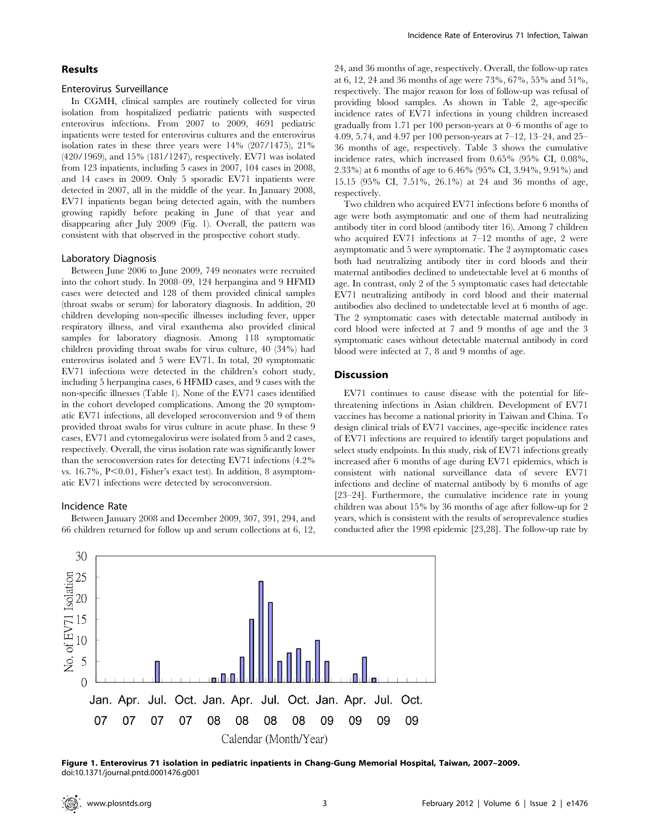## Results

## Enterovirus Surveillance

In CGMH, clinical samples are routinely collected for virus isolation from hospitalized pediatric patients with suspected enterovirus infections. From 2007 to 2009, 4691 pediatric inpatients were tested for enterovirus cultures and the enterovirus isolation rates in these three years were 14% (207/1475), 21% (420/1969), and 15% (181/1247), respectively. EV71 was isolated from 123 inpatients, including 5 cases in 2007, 104 cases in 2008, and 14 cases in 2009. Only 5 sporadic EV71 inpatients were detected in 2007, all in the middle of the year. In January 2008, EV71 inpatients began being detected again, with the numbers growing rapidly before peaking in June of that year and disappearing after July 2009 (Fig. 1). Overall, the pattern was consistent with that observed in the prospective cohort study.

#### Laboratory Diagnosis

Between June 2006 to June 2009, 749 neonates were recruited into the cohort study. In 2008–09, 124 herpangina and 9 HFMD cases were detected and 128 of them provided clinical samples (throat swabs or serum) for laboratory diagnosis. In addition, 20 children developing non-specific illnesses including fever, upper respiratory illness, and viral exanthema also provided clinical samples for laboratory diagnosis. Among 118 symptomatic children providing throat swabs for virus culture, 40 (34%) had enterovirus isolated and 5 were EV71. In total, 20 symptomatic EV71 infections were detected in the children's cohort study, including 5 herpangina cases, 6 HFMD cases, and 9 cases with the non-specific illnesses (Table 1). None of the EV71 cases identified in the cohort developed complications. Among the 20 symptomatic EV71 infections, all developed seroconversion and 9 of them provided throat swabs for virus culture in acute phase. In these 9 cases, EV71 and cytomegalovirus were isolated from 5 and 2 cases, respectively. Overall, the virus isolation rate was significantly lower than the seroconversion rates for detecting EV71 infections (4.2% vs.  $16.7\%$ ,  $P<0.01$ , Fisher's exact test). In addition, 8 asymptomatic EV71 infections were detected by seroconversion.

#### Incidence Rate

Between January 2008 and December 2009, 307, 391, 294, and 66 children returned for follow up and serum collections at 6, 12,

24, and 36 months of age, respectively. Overall, the follow-up rates at 6, 12, 24 and 36 months of age were 73%, 67%, 55% and 51%, respectively. The major reason for loss of follow-up was refusal of providing blood samples. As shown in Table 2, age-specific incidence rates of EV71 infections in young children increased gradually from 1.71 per 100 person-years at 0–6 months of age to 4.09, 5.74, and 4.97 per 100 person-years at 7–12, 13–24, and 25– 36 months of age, respectively. Table 3 shows the cumulative incidence rates, which increased from 0.65% (95% CI, 0.08%, 2.33%) at 6 months of age to 6.46% (95% CI, 3.94%, 9.91%) and 15.15 (95% CI, 7.51%, 26.1%) at 24 and 36 months of age, respectively.

Two children who acquired EV71 infections before 6 months of age were both asymptomatic and one of them had neutralizing antibody titer in cord blood (antibody titer 16). Among 7 children who acquired EV71 infections at 7–12 months of age, 2 were asymptomatic and 5 were symptomatic. The 2 asymptomatic cases both had neutralizing antibody titer in cord bloods and their maternal antibodies declined to undetectable level at 6 months of age. In contrast, only 2 of the 5 symptomatic cases had detectable EV71 neutralizing antibody in cord blood and their maternal antibodies also declined to undetectable level at 6 months of age. The 2 symptomatic cases with detectable maternal antibody in cord blood were infected at 7 and 9 months of age and the 3 symptomatic cases without detectable maternal antibody in cord blood were infected at 7, 8 and 9 months of age.

## Discussion

EV71 continues to cause disease with the potential for lifethreatening infections in Asian children. Development of EV71 vaccines has become a national priority in Taiwan and China. To design clinical trials of EV71 vaccines, age-specific incidence rates of EV71 infections are required to identify target populations and select study endpoints. In this study, risk of EV71 infections greatly increased after 6 months of age during EV71 epidemics, which is consistent with national surveillance data of severe EV71 infections and decline of maternal antibody by 6 months of age [23–24]. Furthermore, the cumulative incidence rate in young children was about 15% by 36 months of age after follow-up for 2 years, which is consistent with the results of seroprevalence studies conducted after the 1998 epidemic [23,28]. The follow-up rate by



Figure 1. Enterovirus 71 isolation in pediatric inpatients in Chang-Gung Memorial Hospital, Taiwan, 2007–2009. doi:10.1371/journal.pntd.0001476.g001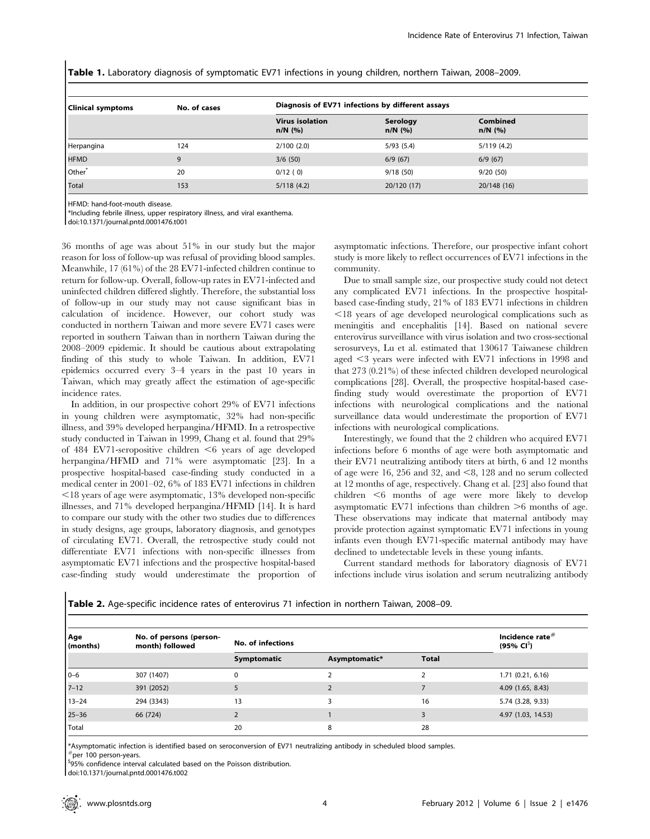Table 1. Laboratory diagnosis of symptomatic EV71 infections in young children, northern Taiwan, 2008–2009.

| <b>Clinical symptoms</b> | No. of cases | Diagnosis of EV71 infections by different assays |                       |                              |  |  |
|--------------------------|--------------|--------------------------------------------------|-----------------------|------------------------------|--|--|
|                          |              | <b>Virus isolation</b><br>$n/N$ (%)              | Serology<br>$n/N$ (%) | <b>Combined</b><br>$n/N$ (%) |  |  |
| Herpangina               | 124          | 2/100(2.0)                                       | 5/93(5.4)             | 5/119(4.2)                   |  |  |
| <b>HFMD</b>              | 9            | 3/6(50)                                          | 6/9(67)               | 6/9(67)                      |  |  |
| Other <sup>*</sup>       | 20           | 0/12(0)                                          | 9/18(50)              | 9/20 (50)                    |  |  |
| Total                    | 153          | 5/118(4.2)                                       | 20/120 (17)           | 20/148 (16)                  |  |  |

HFMD: hand-foot-mouth disease.

\*Including febrile illness, upper respiratory illness, and viral exanthema.

doi:10.1371/journal.pntd.0001476.t001

36 months of age was about 51% in our study but the major reason for loss of follow-up was refusal of providing blood samples. Meanwhile, 17 (61%) of the 28 EV71-infected children continue to return for follow-up. Overall, follow-up rates in EV71-infected and uninfected children differed slightly. Therefore, the substantial loss of follow-up in our study may not cause significant bias in calculation of incidence. However, our cohort study was conducted in northern Taiwan and more severe EV71 cases were reported in southern Taiwan than in northern Taiwan during the 2008–2009 epidemic. It should be cautious about extrapolating finding of this study to whole Taiwan. In addition, EV71 epidemics occurred every 3–4 years in the past 10 years in Taiwan, which may greatly affect the estimation of age-specific incidence rates.

In addition, in our prospective cohort 29% of EV71 infections in young children were asymptomatic, 32% had non-specific illness, and 39% developed herpangina/HFMD. In a retrospective study conducted in Taiwan in 1999, Chang et al. found that 29% of 484 EV71-seropositive children  $\leq 6$  years of age developed herpangina/HFMD and 71% were asymptomatic [23]. In a prospective hospital-based case-finding study conducted in a medical center in 2001–02, 6% of 183 EV71 infections in children  $\leq$ 18 years of age were asymptomatic, 13% developed non-specific illnesses, and 71% developed herpangina/HFMD [14]. It is hard to compare our study with the other two studies due to differences in study designs, age groups, laboratory diagnosis, and genotypes of circulating EV71. Overall, the retrospective study could not differentiate EV71 infections with non-specific illnesses from asymptomatic EV71 infections and the prospective hospital-based case-finding study would underestimate the proportion of asymptomatic infections. Therefore, our prospective infant cohort study is more likely to reflect occurrences of EV71 infections in the community.

Due to small sample size, our prospective study could not detect any complicated EV71 infections. In the prospective hospitalbased case-finding study, 21% of 183 EV71 infections in children  $\leq$ 18 years of age developed neurological complications such as meningitis and encephalitis [14]. Based on national severe enterovirus surveillance with virus isolation and two cross-sectional serosurveys, Lu et al. estimated that 130617 Taiwanese children aged  $\leq$ 3 years were infected with EV71 infections in 1998 and that 273 (0.21%) of these infected children developed neurological complications [28]. Overall, the prospective hospital-based casefinding study would overestimate the proportion of EV71 infections with neurological complications and the national surveillance data would underestimate the proportion of EV71 infections with neurological complications.

Interestingly, we found that the 2 children who acquired EV71 infections before 6 months of age were both asymptomatic and their EV71 neutralizing antibody titers at birth, 6 and 12 months of age were 16, 256 and 32, and  $\leq 8$ , 128 and no serum collected at 12 months of age, respectively. Chang et al. [23] also found that  $children < 6$  months of age were more likely to develop asymptomatic EV71 infections than children  $\geq 6$  months of age. These observations may indicate that maternal antibody may provide protection against symptomatic EV71 infections in young infants even though EV71-specific maternal antibody may have declined to undetectable levels in these young infants.

Current standard methods for laboratory diagnosis of EV71 infections include virus isolation and serum neutralizing antibody

| <b>Table 2.</b> Age-specific incidence rates of enterovirus 71 infection in northern Taiwan, 2008–09. |  |  |  |  |  |  |
|-------------------------------------------------------------------------------------------------------|--|--|--|--|--|--|
|-------------------------------------------------------------------------------------------------------|--|--|--|--|--|--|

| Age<br>(months) | No. of persons (person-<br>month) followed | No. of infections | Incidence rate $#$<br>$(95\% \, \text{Cl}^3)$ |              |                    |
|-----------------|--------------------------------------------|-------------------|-----------------------------------------------|--------------|--------------------|
|                 |                                            | Symptomatic       | Asymptomatic*                                 | <b>Total</b> |                    |
| $0 - 6$         | 307 (1407)                                 | 0                 |                                               |              | 1.71(0.21, 6.16)   |
| $7 - 12$        | 391 (2052)                                 |                   |                                               |              | 4.09(1.65, 8.43)   |
| $13 - 24$       | 294 (3343)                                 | 13                |                                               | 16           | 5.74 (3.28, 9.33)  |
| $25 - 36$       | 66 (724)                                   |                   |                                               |              | 4.97 (1.03, 14.53) |
| Total           |                                            | 20                | 8                                             | 28           |                    |

\*Asymptomatic infection is identified based on seroconversion of EV71 neutralizing antibody in scheduled blood samples.

 $^{\#}$ per 100 person-vears.

\$95% confidence interval calculated based on the Poisson distribution.

doi:10.1371/journal.pntd.0001476.t002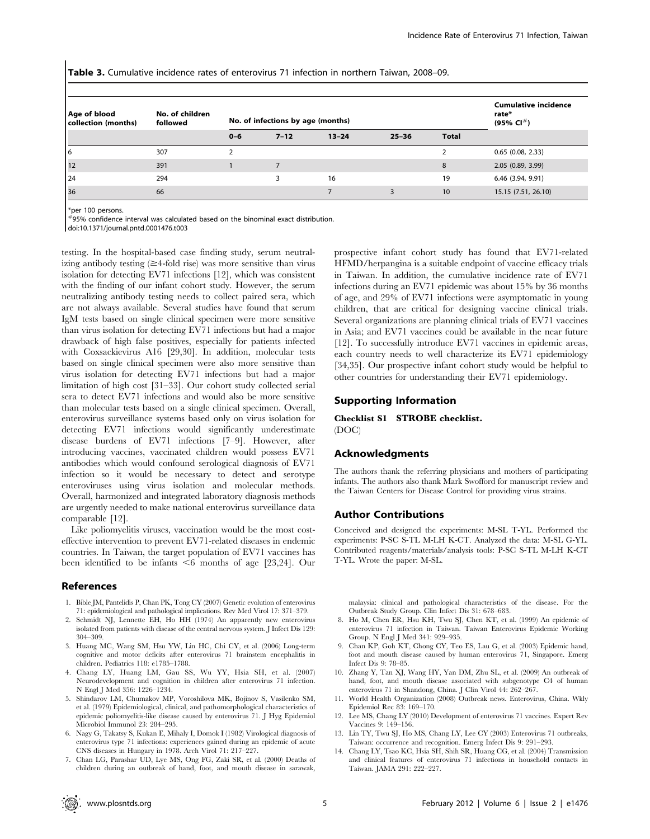Table 3. Cumulative incidence rates of enterovirus 71 infection in northern Taiwan, 2008-09.

| Age of blood<br>collection (months) | No. of children<br>followed | No. of infections by age (months) |          |           |           |              | <b>Cumulative incidence</b><br>rate*<br>(95% CI <sup>#</sup> ) |
|-------------------------------------|-----------------------------|-----------------------------------|----------|-----------|-----------|--------------|----------------------------------------------------------------|
|                                     |                             | $0 - 6$                           | $7 - 12$ | $13 - 24$ | $25 - 36$ | <b>Total</b> |                                                                |
| 16                                  | 307                         |                                   |          |           |           | ำ            | $0.65$ (0.08, 2.33)                                            |
| 12                                  | 391                         |                                   |          |           |           | 8            | 2.05(0.89, 3.99)                                               |
| 124                                 | 294                         |                                   | З        | 16        |           | 19           | 6.46 (3.94, 9.91)                                              |
| 36                                  | 66                          |                                   |          |           |           | 10           | 15.15 (7.51, 26.10)                                            |

\*per 100 persons.

#95% confidence interval was calculated based on the binominal exact distribution.

doi:10.1371/journal.pntd.0001476.t003

testing. In the hospital-based case finding study, serum neutralizing antibody testing  $(\geq 4$ -fold rise) was more sensitive than virus isolation for detecting EV71 infections [12], which was consistent with the finding of our infant cohort study. However, the serum neutralizing antibody testing needs to collect paired sera, which are not always available. Several studies have found that serum IgM tests based on single clinical specimen were more sensitive than virus isolation for detecting EV71 infections but had a major drawback of high false positives, especially for patients infected with Coxsackievirus A16 [29,30]. In addition, molecular tests based on single clinical specimen were also more sensitive than virus isolation for detecting EV71 infections but had a major limitation of high cost [31–33]. Our cohort study collected serial sera to detect EV71 infections and would also be more sensitive than molecular tests based on a single clinical specimen. Overall, enterovirus surveillance systems based only on virus isolation for detecting EV71 infections would significantly underestimate disease burdens of EV71 infections [7–9]. However, after introducing vaccines, vaccinated children would possess EV71 antibodies which would confound serological diagnosis of EV71 infection so it would be necessary to detect and serotype enteroviruses using virus isolation and molecular methods. Overall, harmonized and integrated laboratory diagnosis methods are urgently needed to make national enterovirus surveillance data comparable [12].

Like poliomyelitis viruses, vaccination would be the most costeffective intervention to prevent EV71-related diseases in endemic countries. In Taiwan, the target population of EV71 vaccines has been identified to be infants  $\leq 6$  months of age [23,24]. Our

#### References

- 1. Bible JM, Pantelidis P, Chan PK, Tong CY (2007) Genetic evolution of enterovirus 71: epidemiological and pathological implications. Rev Med Virol 17: 371–379.
- 2. Schmidt NJ, Lennette EH, Ho HH (1974) An apparently new enterovirus isolated from patients with disease of the central nervous system. J Infect Dis 129: 304–309.
- 3. Huang MC, Wang SM, Hsu YW, Lin HC, Chi CY, et al. (2006) Long-term cognitive and motor deficits after enterovirus 71 brainstem encephalitis in children. Pediatrics 118: e1785–1788.
- 4. Chang LY, Huang LM, Gau SS, Wu YY, Hsia SH, et al. (2007) Neurodevelopment and cognition in children after enterovirus 71 infection. N Engl J Med 356: 1226–1234.
- 5. Shindarov LM, Chumakov MP, Voroshilova MK, Bojinov S, Vasilenko SM, et al. (1979) Epidemiological, clinical, and pathomorphological characteristics of epidemic poliomyelitis-like disease caused by enterovirus 71. J Hyg Epidemiol Microbiol Immunol 23: 284–295.
- 6. Nagy G, Takatsy S, Kukan E, Mihaly I, Domok I (1982) Virological diagnosis of enterovirus type 71 infections: experiences gained during an epidemic of acute CNS diseases in Hungary in 1978. Arch Virol 71: 217–227.
- 7. Chan LG, Parashar UD, Lye MS, Ong FG, Zaki SR, et al. (2000) Deaths of children during an outbreak of hand, foot, and mouth disease in sarawak,

prospective infant cohort study has found that EV71-related HFMD/herpangina is a suitable endpoint of vaccine efficacy trials in Taiwan. In addition, the cumulative incidence rate of EV71 infections during an EV71 epidemic was about 15% by 36 months of age, and 29% of EV71 infections were asymptomatic in young children, that are critical for designing vaccine clinical trials. Several organizations are planning clinical trials of EV71 vaccines in Asia; and EV71 vaccines could be available in the near future [12]. To successfully introduce EV71 vaccines in epidemic areas, each country needs to well characterize its EV71 epidemiology [34,35]. Our prospective infant cohort study would be helpful to other countries for understanding their EV71 epidemiology.

## Supporting Information

Checklist S1 STROBE checklist. (DOC)

## Acknowledgments

The authors thank the referring physicians and mothers of participating infants. The authors also thank Mark Swofford for manuscript review and the Taiwan Centers for Disease Control for providing virus strains.

#### Author Contributions

Conceived and designed the experiments: M-SL T-YL. Performed the experiments: P-SC S-TL M-LH K-CT. Analyzed the data: M-SL G-YL. Contributed reagents/materials/analysis tools: P-SC S-TL M-LH K-CT T-YL. Wrote the paper: M-SL.

malaysia: clinical and pathological characteristics of the disease. For the Outbreak Study Group. Clin Infect Dis 31: 678–683.

- 8. Ho M, Chen ER, Hsu KH, Twu SJ, Chen KT, et al. (1999) An epidemic of enterovirus 71 infection in Taiwan. Taiwan Enterovirus Epidemic Working Group. N Engl J Med 341: 929–935.
- 9. Chan KP, Goh KT, Chong CY, Teo ES, Lau G, et al. (2003) Epidemic hand, foot and mouth disease caused by human enterovirus 71, Singapore. Emerg Infect Dis 9: 78–85.
- 10. Zhang Y, Tan XJ, Wang HY, Yan DM, Zhu SL, et al. (2009) An outbreak of hand, foot, and mouth disease associated with subgenotype C4 of human enterovirus 71 in Shandong, China. J Clin Virol 44: 262–267.
- 11. World Health Organization (2008) Outbreak news. Enterovirus, China. Wkly Epidemiol Rec 83: 169–170.
- 12. Lee MS, Chang LY (2010) Development of enterovirus 71 vaccines. Expert Rev Vaccines 9: 149–156.
- 13. Lin TY, Twu SJ, Ho MS, Chang LY, Lee CY (2003) Enterovirus 71 outbreaks, Taiwan: occurrence and recognition. Emerg Infect Dis 9: 291–293.
- 14. Chang LY, Tsao KC, Hsia SH, Shih SR, Huang CG, et al. (2004) Transmission and clinical features of enterovirus 71 infections in household contacts in Taiwan. JAMA 291: 222–227.